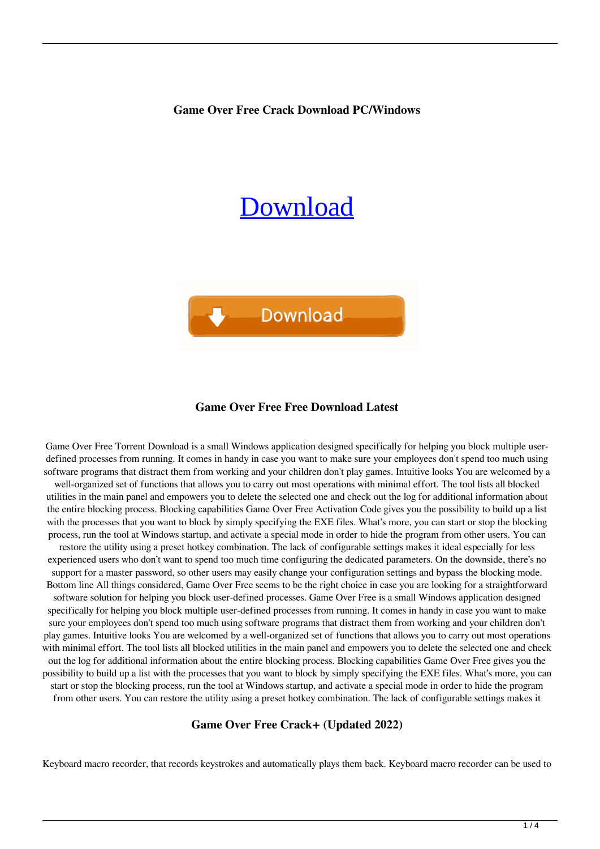**Game Over Free Crack Download PC/Windows**

# [Download](http://evacdir.com/accuse.R2FtZSBPdmVyIEZyZWUR2F?rummy=ZG93bmxvYWR8YlkyZFROMmZId3hOalUwTkRNMk5qVTRmSHd5TlRrd2ZId29UU2tnVjI5eVpIQnlaWE56SUZ0WVRVeFNVRU1nVmpJZ1VFUkdYUQ.capuano.chico.cretans.)



#### **Game Over Free Free Download Latest**

Game Over Free Torrent Download is a small Windows application designed specifically for helping you block multiple userdefined processes from running. It comes in handy in case you want to make sure your employees don't spend too much using software programs that distract them from working and your children don't play games. Intuitive looks You are welcomed by a well-organized set of functions that allows you to carry out most operations with minimal effort. The tool lists all blocked utilities in the main panel and empowers you to delete the selected one and check out the log for additional information about the entire blocking process. Blocking capabilities Game Over Free Activation Code gives you the possibility to build up a list with the processes that you want to block by simply specifying the EXE files. What's more, you can start or stop the blocking process, run the tool at Windows startup, and activate a special mode in order to hide the program from other users. You can restore the utility using a preset hotkey combination. The lack of configurable settings makes it ideal especially for less experienced users who don't want to spend too much time configuring the dedicated parameters. On the downside, there's no support for a master password, so other users may easily change your configuration settings and bypass the blocking mode. Bottom line All things considered, Game Over Free seems to be the right choice in case you are looking for a straightforward software solution for helping you block user-defined processes. Game Over Free is a small Windows application designed specifically for helping you block multiple user-defined processes from running. It comes in handy in case you want to make sure your employees don't spend too much using software programs that distract them from working and your children don't play games. Intuitive looks You are welcomed by a well-organized set of functions that allows you to carry out most operations with minimal effort. The tool lists all blocked utilities in the main panel and empowers you to delete the selected one and check out the log for additional information about the entire blocking process. Blocking capabilities Game Over Free gives you the possibility to build up a list with the processes that you want to block by simply specifying the EXE files. What's more, you can start or stop the blocking process, run the tool at Windows startup, and activate a special mode in order to hide the program from other users. You can restore the utility using a preset hotkey combination. The lack of configurable settings makes it

#### **Game Over Free Crack+ (Updated 2022)**

Keyboard macro recorder, that records keystrokes and automatically plays them back. Keyboard macro recorder can be used to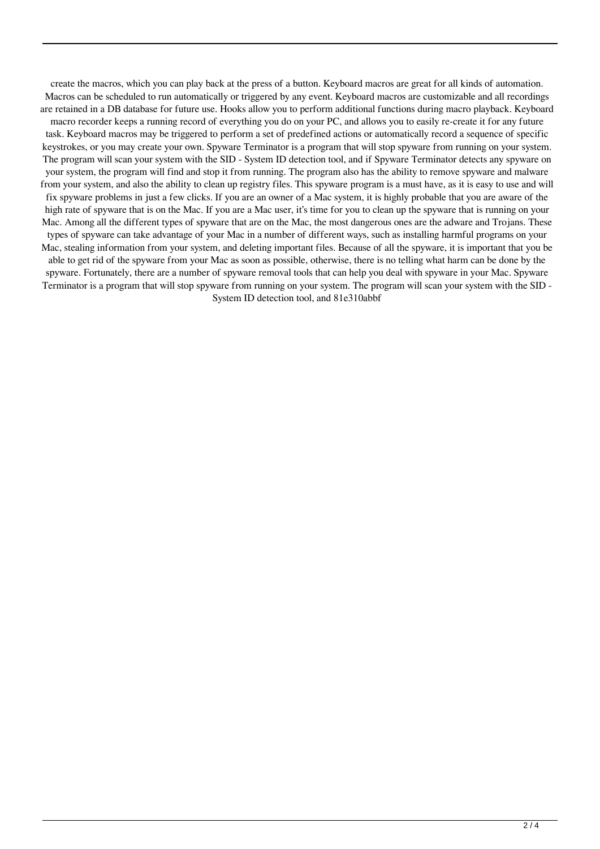create the macros, which you can play back at the press of a button. Keyboard macros are great for all kinds of automation. Macros can be scheduled to run automatically or triggered by any event. Keyboard macros are customizable and all recordings are retained in a DB database for future use. Hooks allow you to perform additional functions during macro playback. Keyboard

macro recorder keeps a running record of everything you do on your PC, and allows you to easily re-create it for any future task. Keyboard macros may be triggered to perform a set of predefined actions or automatically record a sequence of specific keystrokes, or you may create your own. Spyware Terminator is a program that will stop spyware from running on your system. The program will scan your system with the SID - System ID detection tool, and if Spyware Terminator detects any spyware on your system, the program will find and stop it from running. The program also has the ability to remove spyware and malware from your system, and also the ability to clean up registry files. This spyware program is a must have, as it is easy to use and will fix spyware problems in just a few clicks. If you are an owner of a Mac system, it is highly probable that you are aware of the high rate of spyware that is on the Mac. If you are a Mac user, it's time for you to clean up the spyware that is running on your Mac. Among all the different types of spyware that are on the Mac, the most dangerous ones are the adware and Trojans. These types of spyware can take advantage of your Mac in a number of different ways, such as installing harmful programs on your Mac, stealing information from your system, and deleting important files. Because of all the spyware, it is important that you be able to get rid of the spyware from your Mac as soon as possible, otherwise, there is no telling what harm can be done by the spyware. Fortunately, there are a number of spyware removal tools that can help you deal with spyware in your Mac. Spyware Terminator is a program that will stop spyware from running on your system. The program will scan your system with the SID - System ID detection tool, and 81e310abbf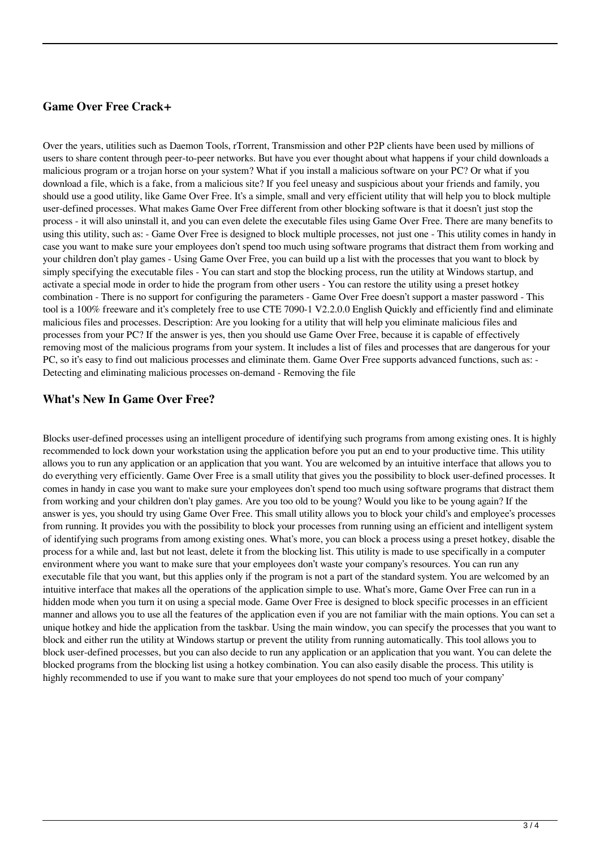## **Game Over Free Crack+**

Over the years, utilities such as Daemon Tools, rTorrent, Transmission and other P2P clients have been used by millions of users to share content through peer-to-peer networks. But have you ever thought about what happens if your child downloads a malicious program or a trojan horse on your system? What if you install a malicious software on your PC? Or what if you download a file, which is a fake, from a malicious site? If you feel uneasy and suspicious about your friends and family, you should use a good utility, like Game Over Free. It's a simple, small and very efficient utility that will help you to block multiple user-defined processes. What makes Game Over Free different from other blocking software is that it doesn't just stop the process - it will also uninstall it, and you can even delete the executable files using Game Over Free. There are many benefits to using this utility, such as: - Game Over Free is designed to block multiple processes, not just one - This utility comes in handy in case you want to make sure your employees don't spend too much using software programs that distract them from working and your children don't play games - Using Game Over Free, you can build up a list with the processes that you want to block by simply specifying the executable files - You can start and stop the blocking process, run the utility at Windows startup, and activate a special mode in order to hide the program from other users - You can restore the utility using a preset hotkey combination - There is no support for configuring the parameters - Game Over Free doesn't support a master password - This tool is a 100% freeware and it's completely free to use CTE 7090-1 V2.2.0.0 English Quickly and efficiently find and eliminate malicious files and processes. Description: Are you looking for a utility that will help you eliminate malicious files and processes from your PC? If the answer is yes, then you should use Game Over Free, because it is capable of effectively removing most of the malicious programs from your system. It includes a list of files and processes that are dangerous for your PC, so it's easy to find out malicious processes and eliminate them. Game Over Free supports advanced functions, such as: - Detecting and eliminating malicious processes on-demand - Removing the file

### **What's New In Game Over Free?**

Blocks user-defined processes using an intelligent procedure of identifying such programs from among existing ones. It is highly recommended to lock down your workstation using the application before you put an end to your productive time. This utility allows you to run any application or an application that you want. You are welcomed by an intuitive interface that allows you to do everything very efficiently. Game Over Free is a small utility that gives you the possibility to block user-defined processes. It comes in handy in case you want to make sure your employees don't spend too much using software programs that distract them from working and your children don't play games. Are you too old to be young? Would you like to be young again? If the answer is yes, you should try using Game Over Free. This small utility allows you to block your child's and employee's processes from running. It provides you with the possibility to block your processes from running using an efficient and intelligent system of identifying such programs from among existing ones. What's more, you can block a process using a preset hotkey, disable the process for a while and, last but not least, delete it from the blocking list. This utility is made to use specifically in a computer environment where you want to make sure that your employees don't waste your company's resources. You can run any executable file that you want, but this applies only if the program is not a part of the standard system. You are welcomed by an intuitive interface that makes all the operations of the application simple to use. What's more, Game Over Free can run in a hidden mode when you turn it on using a special mode. Game Over Free is designed to block specific processes in an efficient manner and allows you to use all the features of the application even if you are not familiar with the main options. You can set a unique hotkey and hide the application from the taskbar. Using the main window, you can specify the processes that you want to block and either run the utility at Windows startup or prevent the utility from running automatically. This tool allows you to block user-defined processes, but you can also decide to run any application or an application that you want. You can delete the blocked programs from the blocking list using a hotkey combination. You can also easily disable the process. This utility is highly recommended to use if you want to make sure that your employees do not spend too much of your company'